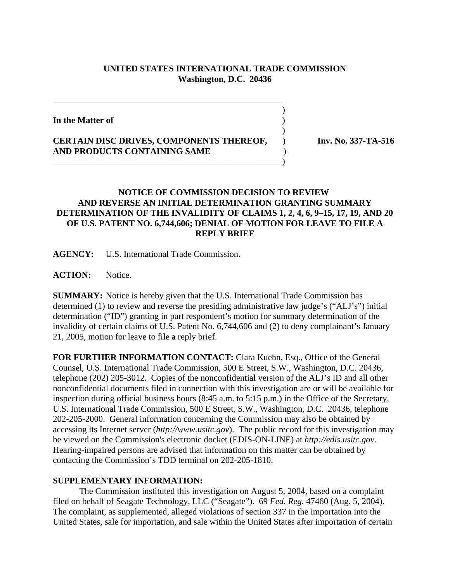## **UNITED STATES INTERNATIONAL TRADE COMMISSION Washington, D.C. 20436**

 $\overline{\phantom{a}}$ 

 $\overline{\phantom{a}}$ 

**In the Matter of** )

## **CERTAIN DISC DRIVES, COMPONENTS THEREOF,** ) **Inv. No. 337-TA-516 AND PRODUCTS CONTAINING SAME** )

\_\_\_\_\_\_\_\_\_\_\_\_\_\_\_\_\_\_\_\_\_\_\_\_\_\_\_\_\_\_\_\_\_\_\_\_\_\_\_\_\_\_\_\_\_\_\_\_\_\_\_\_)

\_\_\_\_\_\_\_\_\_\_\_\_\_\_\_\_\_\_\_\_\_\_\_\_\_\_\_\_\_\_\_\_\_\_\_\_\_\_\_\_\_\_\_\_\_\_\_\_\_\_\_\_

## **NOTICE OF COMMISSION DECISION TO REVIEW AND REVERSE AN INITIAL DETERMINATION GRANTING SUMMARY DETERMINATION OF THE INVALIDITY OF CLAIMS 1, 2, 4, 6, 9–15, 17, 19, AND 20 OF U.S. PATENT NO. 6,744,606; DENIAL OF MOTION FOR LEAVE TO FILE A REPLY BRIEF**

**AGENCY:** U.S. International Trade Commission.

**ACTION:** Notice.

**SUMMARY:** Notice is hereby given that the U.S. International Trade Commission has determined (1) to review and reverse the presiding administrative law judge's ("ALJ's") initial determination ("ID") granting in part respondent's motion for summary determination of the invalidity of certain claims of U.S. Patent No. 6,744,606 and (2) to deny complainant's January 21, 2005, motion for leave to file a reply brief.

**FOR FURTHER INFORMATION CONTACT:** Clara Kuehn, Esq., Office of the General Counsel, U.S. International Trade Commission, 500 E Street, S.W., Washington, D.C. 20436, telephone (202) 205-3012. Copies of the nonconfidential version of the ALJ's ID and all other nonconfidential documents filed in connection with this investigation are or will be available for inspection during official business hours (8:45 a.m. to 5:15 p.m.) in the Office of the Secretary, U.S. International Trade Commission, 500 E Street, S.W., Washington, D.C. 20436, telephone 202-205-2000. General information concerning the Commission may also be obtained by accessing its Internet server (*http://www.usitc.gov*). The public record for this investigation may be viewed on the Commission's electronic docket (EDIS-ON-LINE) at *http://edis.usitc.gov*. Hearing-impaired persons are advised that information on this matter can be obtained by contacting the Commission's TDD terminal on 202-205-1810.

## **SUPPLEMENTARY INFORMATION:**

 The Commission instituted this investigation on August 5, 2004, based on a complaint filed on behalf of Seagate Technology, LLC ("Seagate"). 69 *Fed. Reg.* 47460 (Aug. 5, 2004). The complaint, as supplemented, alleged violations of section 337 in the importation into the United States, sale for importation, and sale within the United States after importation of certain